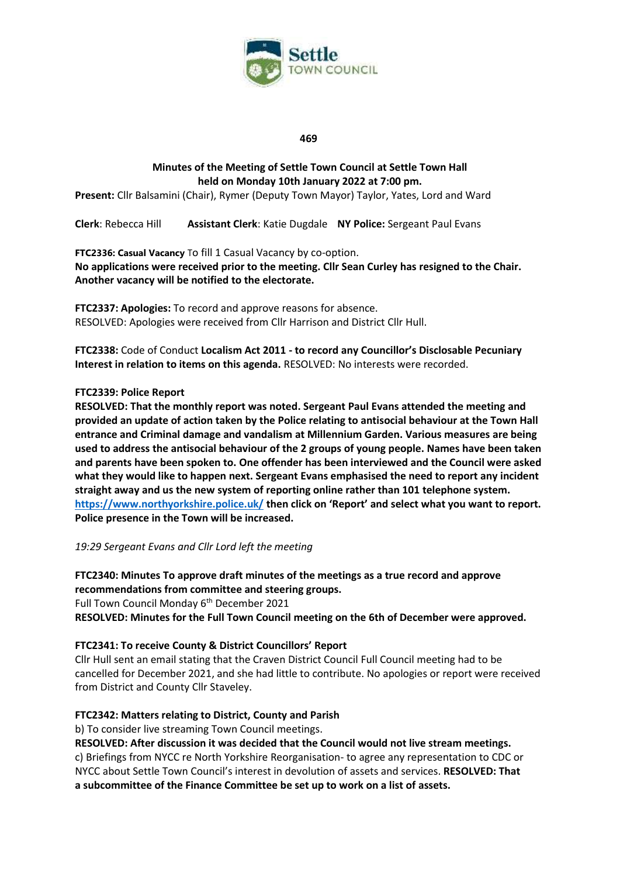

#### **469**

# **Minutes of the Meeting of Settle Town Council at Settle Town Hall held on Monday 10th January 2022 at 7:00 pm.**

**Present:** Cllr Balsamini (Chair), Rymer (Deputy Town Mayor) Taylor, Yates, Lord and Ward

**Clerk**: Rebecca Hill **Assistant Clerk**: Katie Dugdale **NY Police:** Sergeant Paul Evans

**FTC2336: Casual Vacancy** To fill 1 Casual Vacancy by co-option. **No applications were received prior to the meeting. Cllr Sean Curley has resigned to the Chair. Another vacancy will be notified to the electorate.**

**FTC2337: Apologies:** To record and approve reasons for absence. RESOLVED: Apologies were received from Cllr Harrison and District Cllr Hull.

**FTC2338:** Code of Conduct **Localism Act 2011 - to record any Councillor's Disclosable Pecuniary Interest in relation to items on this agenda.** RESOLVED: No interests were recorded.

#### **FTC2339: Police Report**

**RESOLVED: That the monthly report was noted. Sergeant Paul Evans attended the meeting and provided an update of action taken by the Police relating to antisocial behaviour at the Town Hall entrance and Criminal damage and vandalism at Millennium Garden. Various measures are being used to address the antisocial behaviour of the 2 groups of young people. Names have been taken and parents have been spoken to. One offender has been interviewed and the Council were asked what they would like to happen next. Sergeant Evans emphasised the need to report any incident straight away and us the new system of reporting online rather than 101 telephone system. <https://www.northyorkshire.police.uk/> then click on 'Report' and select what you want to report. Police presence in the Town will be increased.**

*19:29 Sergeant Evans and Cllr Lord left the meeting*

**FTC2340: Minutes To approve draft minutes of the meetings as a true record and approve recommendations from committee and steering groups.**

Full Town Council Monday 6<sup>th</sup> December 2021

**RESOLVED: Minutes for the Full Town Council meeting on the 6th of December were approved.**

# **FTC2341: To receive County & District Councillors' Report**

Cllr Hull sent an email stating that the Craven District Council Full Council meeting had to be cancelled for December 2021, and she had little to contribute. No apologies or report were received from District and County Cllr Staveley.

# **FTC2342: Matters relating to District, County and Parish**

b) To consider live streaming Town Council meetings.

**RESOLVED: After discussion it was decided that the Council would not live stream meetings.**

c) Briefings from NYCC re North Yorkshire Reorganisation- to agree any representation to CDC or NYCC about Settle Town Council's interest in devolution of assets and services. **RESOLVED: That a subcommittee of the Finance Committee be set up to work on a list of assets.**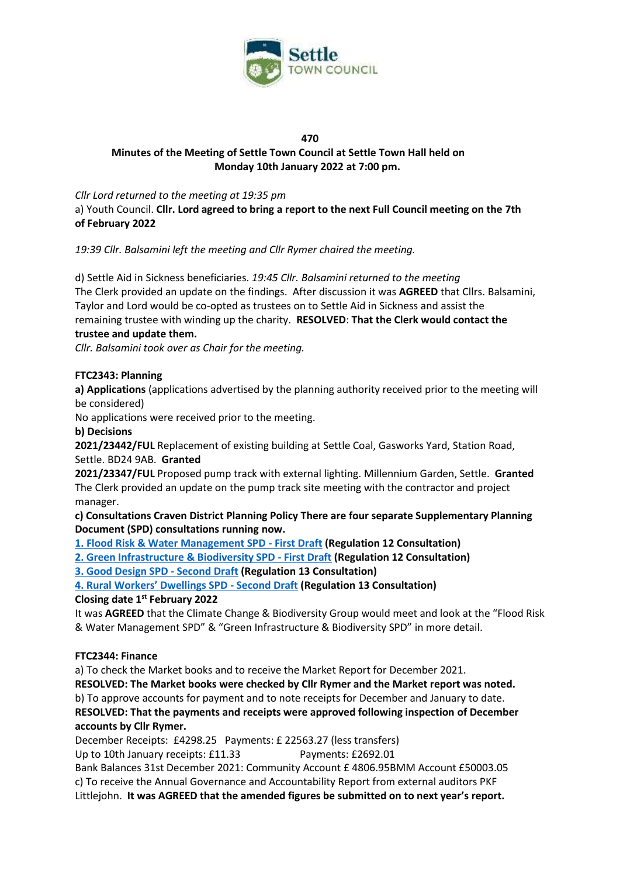

#### **470**

# **Minutes of the Meeting of Settle Town Council at Settle Town Hall held on Monday 10th January 2022 at 7:00 pm.**

## *Cllr Lord returned to the meeting at 19:35 pm*

a) Youth Council. **Cllr. Lord agreed to bring a report to the next Full Council meeting on the 7th of February 2022**

*19:39 Cllr. Balsamini left the meeting and Cllr Rymer chaired the meeting.*

d) Settle Aid in Sickness beneficiaries. *19:45 Cllr. Balsamini returned to the meeting* The Clerk provided an update on the findings. After discussion it was **AGREED** that Cllrs. Balsamini, Taylor and Lord would be co-opted as trustees on to Settle Aid in Sickness and assist the remaining trustee with winding up the charity. **RESOLVED**: **That the Clerk would contact the trustee and update them.** 

*Cllr. Balsamini took over as Chair for the meeting.*

#### **FTC2343: Planning**

**a) Applications** (applications advertised by the planning authority received prior to the meeting will be considered)

No applications were received prior to the meeting.

#### **b) Decisions**

**2021/23442/FUL** Replacement of existing building at Settle Coal, Gasworks Yard, Station Road, Settle. BD24 9AB. **Granted**

**2021/23347/FUL** Proposed pump track with external lighting. Millennium Garden, Settle. **Granted** The Clerk provided an update on the pump track site meeting with the contractor and project manager.

**c) Consultations Craven District Planning Policy There are four separate Supplementary Planning Document (SPD) consultations running now.**

**[1. Flood Risk & Water Management SPD -](https://www.cravendc.gov.uk/planning/spatial-planning/consultations/#FRWMSPD) First Draft (Regulation 12 Consultation)**

**[2. Green Infrastructure & Biodiversity SPD -](https://www.cravendc.gov.uk/planning/spatial-planning/consultations/#GIBSPD) First Draft (Regulation 12 Consultation)**

**[3. Good Design SPD](https://www.cravendc.gov.uk/planning/spatial-planning/consultations/#GDSPD) - Second Draft (Regulation 13 Consultation)**

**[4. Rural Workers' Dwellings SPD](https://www.cravendc.gov.uk/planning/spatial-planning/consultations/#RWDSPD) - Second Draft (Regulation 13 Consultation)**

#### **Closing date 1st February 2022**

It was **AGREED** that the Climate Change & Biodiversity Group would meet and look at the "Flood Risk & Water Management SPD" & "Green Infrastructure & Biodiversity SPD" in more detail.

#### **FTC2344: Finance**

a) To check the Market books and to receive the Market Report for December 2021.

**RESOLVED: The Market books were checked by Cllr Rymer and the Market report was noted.**

b) To approve accounts for payment and to note receipts for December and January to date. **RESOLVED: That the payments and receipts were approved following inspection of December**

# **accounts by Cllr Rymer.**

December Receipts: £4298.25 Payments: £ 22563.27 (less transfers)

Up to 10th January receipts: £11.33 Payments: £2692.01

Bank Balances 31st December 2021: Community Account £ 4806.95BMM Account £50003.05 c) To receive the Annual Governance and Accountability Report from external auditors PKF Littlejohn. **It was AGREED that the amended figures be submitted on to next year's report.**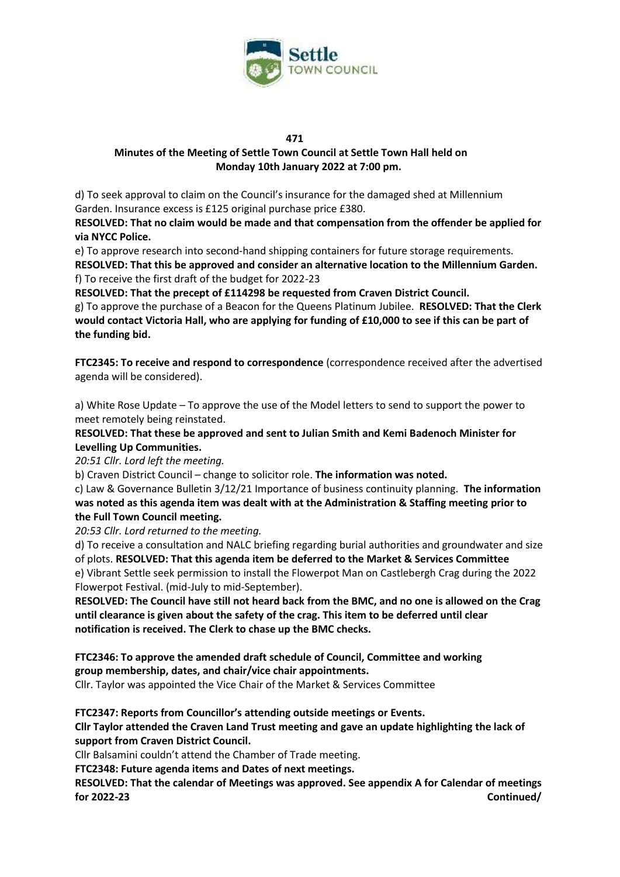

#### **471**

## **Minutes of the Meeting of Settle Town Council at Settle Town Hall held on Monday 10th January 2022 at 7:00 pm.**

d) To seek approval to claim on the Council's insurance for the damaged shed at Millennium Garden. Insurance excess is £125 original purchase price £380.

**RESOLVED: That no claim would be made and that compensation from the offender be applied for via NYCC Police.**

e) To approve research into second-hand shipping containers for future storage requirements. **RESOLVED: That this be approved and consider an alternative location to the Millennium Garden.** f) To receive the first draft of the budget for 2022-23

**RESOLVED: That the precept of £114298 be requested from Craven District Council.**  g) To approve the purchase of a Beacon for the Queens Platinum Jubilee. **RESOLVED: That the Clerk would contact Victoria Hall, who are applying for funding of £10,000 to see if this can be part of the funding bid.**

**FTC2345: To receive and respond to correspondence** (correspondence received after the advertised agenda will be considered).

a) White Rose Update – To approve the use of the Model letters to send to support the power to meet remotely being reinstated.

**RESOLVED: That these be approved and sent to Julian Smith and Kemi Badenoch Minister for Levelling Up Communities.**

*20:51 Cllr. Lord left the meeting.*

b) Craven District Council – change to solicitor role. **The information was noted.**

c) Law & Governance Bulletin 3/12/21 Importance of business continuity planning.  **The information was noted as this agenda item was dealt with at the Administration & Staffing meeting prior to the Full Town Council meeting.** 

*20:53 Cllr. Lord returned to the meeting.* 

d) To receive a consultation and NALC briefing regarding burial authorities and groundwater and size of plots. **RESOLVED: That this agenda item be deferred to the Market & Services Committee** e) Vibrant Settle seek permission to install the Flowerpot Man on Castlebergh Crag during the 2022 Flowerpot Festival. (mid-July to mid-September).

**RESOLVED: The Council have still not heard back from the BMC, and no one is allowed on the Crag until clearance is given about the safety of the crag. This item to be deferred until clear notification is received. The Clerk to chase up the BMC checks.**

**FTC2346: To approve the amended draft schedule of Council, Committee and working group membership, dates, and chair/vice chair appointments.** Cllr. Taylor was appointed the Vice Chair of the Market & Services Committee

**FTC2347: Reports from Councillor's attending outside meetings or Events.**

**Cllr Taylor attended the Craven Land Trust meeting and gave an update highlighting the lack of support from Craven District Council.**

Cllr Balsamini couldn't attend the Chamber of Trade meeting.

**FTC2348: Future agenda items and Dates of next meetings.** 

**RESOLVED: That the calendar of Meetings was approved. See appendix A for Calendar of meetings for 2022-23 Continued/**